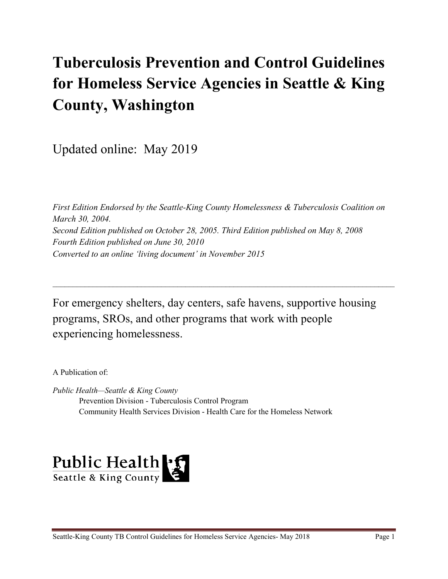# **Tuberculosis Prevention and Control Guidelines for Homeless Service Agencies in Seattle & King County, Washington**

Updated online: May 2019

*First Edition Endorsed by the Seattle-King County Homelessness & Tuberculosis Coalition on March 30, 2004. Second Edition published on October 28, 2005. Third Edition published on May 8, 2008 Fourth Edition published on June 30, 2010 Converted to an online 'living document' in November 2015*

For emergency shelters, day centers, safe havens, supportive housing programs, SROs, and other programs that work with people experiencing homelessness.

\_\_\_\_\_\_\_\_\_\_\_\_\_\_\_\_\_\_\_\_\_\_\_\_\_\_\_\_\_\_\_\_\_\_\_\_\_\_\_\_\_\_\_\_\_\_\_\_\_\_\_\_\_\_\_\_\_\_\_\_\_\_\_\_\_\_\_\_\_\_\_\_\_\_\_\_\_\_\_\_\_\_\_\_\_

A Publication of:

*Public Health—Seattle & King County* Prevention Division - Tuberculosis Control Program Community Health Services Division - Health Care for the Homeless Network

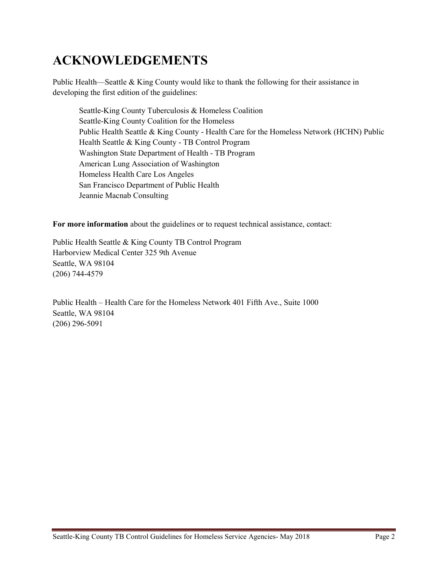## **ACKNOWLEDGEMENTS**

Public Health—Seattle & King County would like to thank the following for their assistance in developing the first edition of the guidelines:

Seattle-King County Tuberculosis & Homeless Coalition Seattle-King County Coalition for the Homeless Public Health Seattle & King County - Health Care for the Homeless Network (HCHN) Public Health Seattle & King County - TB Control Program Washington State Department of Health - TB Program American Lung Association of Washington Homeless Health Care Los Angeles San Francisco Department of Public Health Jeannie Macnab Consulting

**For more information** about the guidelines or to request technical assistance, contact:

Public Health Seattle & King County TB Control Program Harborview Medical Center 325 9th Avenue Seattle, WA 98104 (206) 744-4579

Public Health – Health Care for the Homeless Network 401 Fifth Ave., Suite 1000 Seattle, WA 98104 (206) 296-5091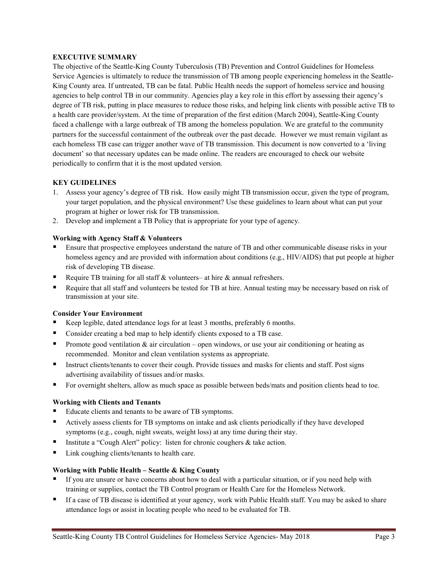#### **EXECUTIVE SUMMARY**

The objective of the Seattle-King County Tuberculosis (TB) Prevention and Control Guidelines for Homeless Service Agencies is ultimately to reduce the transmission of TB among people experiencing homeless in the Seattle-King County area. If untreated, TB can be fatal. Public Health needs the support of homeless service and housing agencies to help control TB in our community. Agencies play a key role in this effort by assessing their agency's degree of TB risk, putting in place measures to reduce those risks, and helping link clients with possible active TB to a health care provider/system. At the time of preparation of the first edition (March 2004), Seattle-King County faced a challenge with a large outbreak of TB among the homeless population. We are grateful to the community partners for the successful containment of the outbreak over the past decade. However we must remain vigilant as each homeless TB case can trigger another wave of TB transmission. This document is now converted to a 'living document' so that necessary updates can be made online. The readers are encouraged to check our website periodically to confirm that it is the most updated version.

#### **KEY GUIDELINES**

- 1. Assess your agency's degree of TB risk. How easily might TB transmission occur, given the type of program, your target population, and the physical environment? Use these guidelines to learn about what can put your program at higher or lower risk for TB transmission.
- 2. Develop and implement a TB Policy that is appropriate for your type of agency.

#### **Working with Agency Staff & Volunteers**

- Ensure that prospective employees understand the nature of TB and other communicable disease risks in your homeless agency and are provided with information about conditions (e.g., HIV/AIDS) that put people at higher risk of developing TB disease.
- Require TB training for all staff & volunteers– at hire & annual refreshers.
- Require that all staff and volunteers be tested for TB at hire. Annual testing may be necessary based on risk of transmission at your site.

#### **Consider Your Environment**

- Keep legible, dated attendance logs for at least 3 months, preferably 6 months.
- Consider creating a bed map to help identify clients exposed to a TB case.
- Promote good ventilation  $\&$  air circulation open windows, or use your air conditioning or heating as recommended. Monitor and clean ventilation systems as appropriate.
- Instruct clients/tenants to cover their cough. Provide tissues and masks for clients and staff. Post signs advertising availability of tissues and/or masks.
- For overnight shelters, allow as much space as possible between beds/mats and position clients head to toe.

#### **Working with Clients and Tenants**

- Educate clients and tenants to be aware of TB symptoms.
- Actively assess clients for TB symptoms on intake and ask clients periodically if they have developed symptoms (e.g., cough, night sweats, weight loss) at any time during their stay.
- Institute a "Cough Alert" policy: listen for chronic coughers & take action.
- Link coughing clients/tenants to health care.

#### **Working with Public Health – Seattle & King County**

- If you are unsure or have concerns about how to deal with a particular situation, or if you need help with training or supplies, contact the TB Control program or Health Care for the Homeless Network.
- If a case of TB disease is identified at your agency, work with Public Health staff. You may be asked to share attendance logs or assist in locating people who need to be evaluated for TB.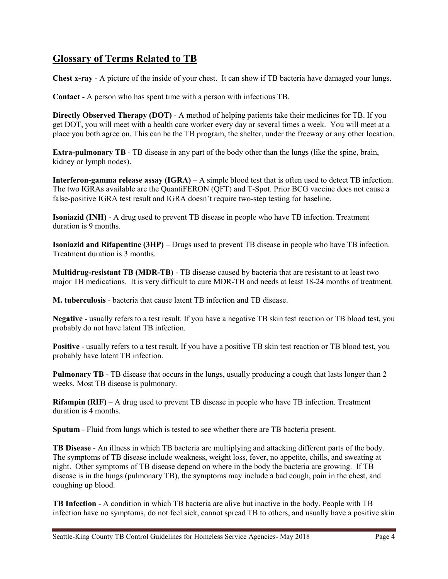### **Glossary of Terms Related to TB**

**Chest x-ray** - A picture of the inside of your chest. It can show if TB bacteria have damaged your lungs.

**Contact** - A person who has spent time with a person with infectious TB.

**Directly Observed Therapy (DOT)** - A method of helping patients take their medicines for TB. If you get DOT, you will meet with a health care worker every day or several times a week. You will meet at a place you both agree on. This can be the TB program, the shelter, under the freeway or any other location.

**Extra-pulmonary TB** - TB disease in any part of the body other than the lungs (like the spine, brain, kidney or lymph nodes).

**Interferon-gamma release assay (IGRA)** – A simple blood test that is often used to detect TB infection. The two IGRAs available are the QuantiFERON (QFT) and T-Spot. Prior BCG vaccine does not cause a false-positive IGRA test result and IGRA doesn't require two-step testing for baseline.

**Isoniazid (INH)** - A drug used to prevent TB disease in people who have TB infection. Treatment duration is 9 months.

**Isoniazid and Rifapentine (3HP)** – Drugs used to prevent TB disease in people who have TB infection. Treatment duration is 3 months.

**Multidrug-resistant TB (MDR-TB)** - TB disease caused by bacteria that are resistant to at least two major TB medications. It is very difficult to cure MDR-TB and needs at least 18-24 months of treatment.

**M. tuberculosis** - bacteria that cause latent TB infection and TB disease.

**Negative** - usually refers to a test result. If you have a negative TB skin test reaction or TB blood test, you probably do not have latent TB infection.

**Positive** - usually refers to a test result. If you have a positive TB skin test reaction or TB blood test, you probably have latent TB infection.

**Pulmonary TB** - TB disease that occurs in the lungs, usually producing a cough that lasts longer than 2 weeks. Most TB disease is pulmonary.

**Rifampin (RIF)** – A drug used to prevent TB disease in people who have TB infection. Treatment duration is 4 months.

**Sputum** - Fluid from lungs which is tested to see whether there are TB bacteria present.

**TB Disease** - An illness in which TB bacteria are multiplying and attacking different parts of the body. The symptoms of TB disease include weakness, weight loss, fever, no appetite, chills, and sweating at night. Other symptoms of TB disease depend on where in the body the bacteria are growing. If TB disease is in the lungs (pulmonary TB), the symptoms may include a bad cough, pain in the chest, and coughing up blood.

**TB Infection** - A condition in which TB bacteria are alive but inactive in the body. People with TB infection have no symptoms, do not feel sick, cannot spread TB to others, and usually have a positive skin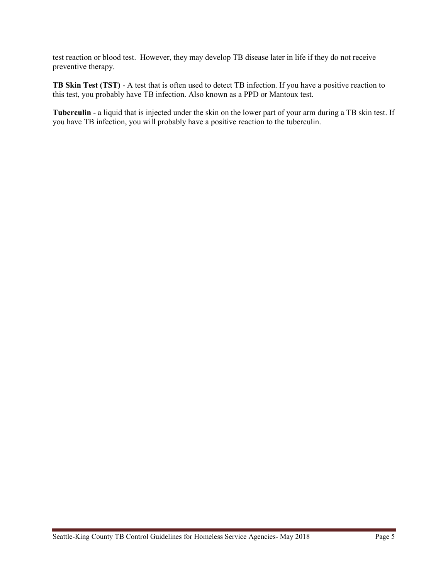test reaction or blood test. However, they may develop TB disease later in life if they do not receive preventive therapy.

**TB Skin Test (TST)** - A test that is often used to detect TB infection. If you have a positive reaction to this test, you probably have TB infection. Also known as a PPD or Mantoux test.

**Tuberculin** - a liquid that is injected under the skin on the lower part of your arm during a TB skin test. If you have TB infection, you will probably have a positive reaction to the tuberculin.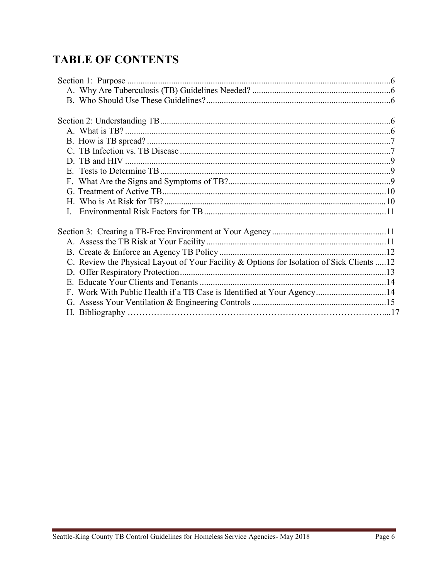## **TABLE OF CONTENTS**

| C. Review the Physical Layout of Your Facility & Options for Isolation of Sick Clients  12 |  |
|--------------------------------------------------------------------------------------------|--|
|                                                                                            |  |
|                                                                                            |  |
| F. Work With Public Health if a TB Case is Identified at Your Agency14                     |  |
|                                                                                            |  |
|                                                                                            |  |
|                                                                                            |  |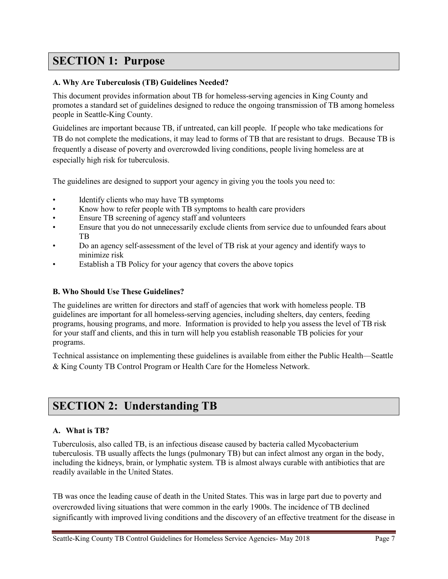## **SECTION 1: Purpose**

#### **A. Why Are Tuberculosis (TB) Guidelines Needed?**

This document provides information about TB for homeless-serving agencies in King County and promotes a standard set of guidelines designed to reduce the ongoing transmission of TB among homeless people in Seattle-King County.

Guidelines are important because TB, if untreated, can kill people. If people who take medications for TB do not complete the medications, it may lead to forms of TB that are resistant to drugs. Because TB is frequently a disease of poverty and overcrowded living conditions, people living homeless are at especially high risk for tuberculosis.

The guidelines are designed to support your agency in giving you the tools you need to:

- Identify clients who may have TB symptoms
- Know how to refer people with TB symptoms to health care providers
- Ensure TB screening of agency staff and volunteers
- Ensure that you do not unnecessarily exclude clients from service due to unfounded fears about TB
- Do an agency self-assessment of the level of TB risk at your agency and identify ways to minimize risk
- Establish a TB Policy for your agency that covers the above topics

#### **B. Who Should Use These Guidelines?**

The guidelines are written for directors and staff of agencies that work with homeless people. TB guidelines are important for all homeless-serving agencies, including shelters, day centers, feeding programs, housing programs, and more. Information is provided to help you assess the level of TB risk for your staff and clients, and this in turn will help you establish reasonable TB policies for your programs.

Technical assistance on implementing these guidelines is available from either the Public Health—Seattle & King County TB Control Program or Health Care for the Homeless Network.

## **SECTION 2: Understanding TB**

#### **A. What is TB?**

Tuberculosis, also called TB, is an infectious disease caused by bacteria called Mycobacterium tuberculosis. TB usually affects the lungs (pulmonary TB) but can infect almost any organ in the body, including the kidneys, brain, or lymphatic system. TB is almost always curable with antibiotics that are readily available in the United States.

TB was once the leading cause of death in the United States. This was in large part due to poverty and overcrowded living situations that were common in the early 1900s. The incidence of TB declined significantly with improved living conditions and the discovery of an effective treatment for the disease in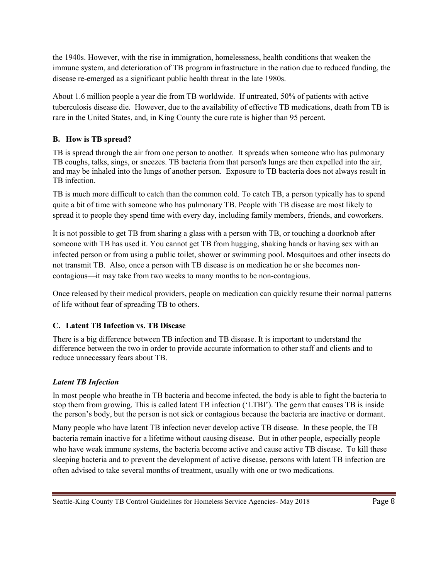the 1940s. However, with the rise in immigration, homelessness, health conditions that weaken the immune system, and deterioration of TB program infrastructure in the nation due to reduced funding, the disease re-emerged as a significant public health threat in the late 1980s.

About 1.6 million people a year die from TB worldwide. If untreated, 50% of patients with active tuberculosis disease die. However, due to the availability of effective TB medications, death from TB is rare in the United States, and, in King County the cure rate is higher than 95 percent.

#### **B. How is TB spread?**

TB is spread through the air from one person to another. It spreads when someone who has pulmonary TB coughs, talks, sings, or sneezes. TB bacteria from that person's lungs are then expelled into the air, and may be inhaled into the lungs of another person. Exposure to TB bacteria does not always result in TB infection.

TB is much more difficult to catch than the common cold. To catch TB, a person typically has to spend quite a bit of time with someone who has pulmonary TB. People with TB disease are most likely to spread it to people they spend time with every day, including family members, friends, and coworkers.

It is not possible to get TB from sharing a glass with a person with TB, or touching a doorknob after someone with TB has used it. You cannot get TB from hugging, shaking hands or having sex with an infected person or from using a public toilet, shower or swimming pool. Mosquitoes and other insects do not transmit TB. Also, once a person with TB disease is on medication he or she becomes noncontagious—it may take from two weeks to many months to be non-contagious.

Once released by their medical providers, people on medication can quickly resume their normal patterns of life without fear of spreading TB to others.

#### **C. Latent TB Infection vs. TB Disease**

There is a big difference between TB infection and TB disease. It is important to understand the difference between the two in order to provide accurate information to other staff and clients and to reduce unnecessary fears about TB.

#### *Latent TB Infection*

In most people who breathe in TB bacteria and become infected, the body is able to fight the bacteria to stop them from growing. This is called latent TB infection ('LTBI'). The germ that causes TB is inside the person's body, but the person is not sick or contagious because the bacteria are inactive or dormant.

Many people who have latent TB infection never develop active TB disease. In these people, the TB bacteria remain inactive for a lifetime without causing disease. But in other people, especially people who have weak immune systems, the bacteria become active and cause active TB disease. To kill these sleeping bacteria and to prevent the development of active disease, persons with latent TB infection are often advised to take several months of treatment, usually with one or two medications.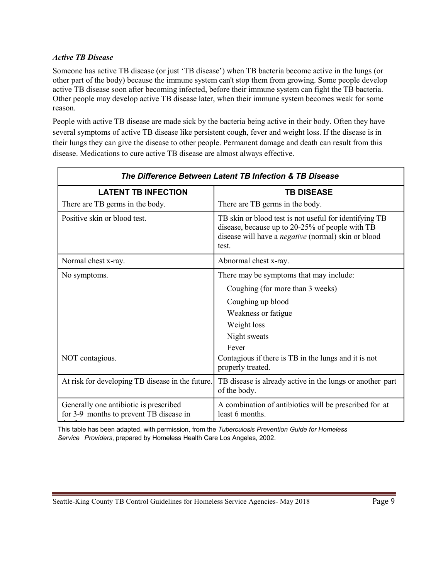#### *Active TB Disease*

Someone has active TB disease (or just 'TB disease') when TB bacteria become active in the lungs (or other part of the body) because the immune system can't stop them from growing. Some people develop active TB disease soon after becoming infected, before their immune system can fight the TB bacteria. Other people may develop active TB disease later, when their immune system becomes weak for some reason.

People with active TB disease are made sick by the bacteria being active in their body. Often they have several symptoms of active TB disease like persistent cough, fever and weight loss. If the disease is in their lungs they can give the disease to other people. Permanent damage and death can result from this disease. Medications to cure active TB disease are almost always effective.

| The Difference Between Latent TB Infection & TB Disease                           |                                                                                                                                                                                  |  |
|-----------------------------------------------------------------------------------|----------------------------------------------------------------------------------------------------------------------------------------------------------------------------------|--|
| <b>LATENT TB INFECTION</b>                                                        | <b>TB DISEASE</b>                                                                                                                                                                |  |
| There are TB germs in the body.                                                   | There are TB germs in the body.                                                                                                                                                  |  |
| Positive skin or blood test.                                                      | TB skin or blood test is not useful for identifying TB<br>disease, because up to 20-25% of people with TB<br>disease will have a <i>negative</i> (normal) skin or blood<br>test. |  |
| Normal chest x-ray.                                                               | Abnormal chest x-ray.                                                                                                                                                            |  |
| No symptoms.                                                                      | There may be symptoms that may include:                                                                                                                                          |  |
|                                                                                   | Coughing (for more than 3 weeks)                                                                                                                                                 |  |
|                                                                                   | Coughing up blood                                                                                                                                                                |  |
|                                                                                   | Weakness or fatigue                                                                                                                                                              |  |
|                                                                                   | Weight loss                                                                                                                                                                      |  |
|                                                                                   | Night sweats                                                                                                                                                                     |  |
|                                                                                   | Fever                                                                                                                                                                            |  |
| NOT contagious.                                                                   | Contagious if there is TB in the lungs and it is not<br>properly treated.                                                                                                        |  |
| At risk for developing TB disease in the future.                                  | TB disease is already active in the lungs or another part<br>of the body.                                                                                                        |  |
| Generally one antibiotic is prescribed<br>for 3-9 months to prevent TB disease in | A combination of antibiotics will be prescribed for at<br>least 6 months.                                                                                                        |  |

h f This table has been adapted, with permission, from the *Tuberculosis Prevention Guide for Homeless Service Providers*, prepared by Homeless Health Care Los Angeles, 2002.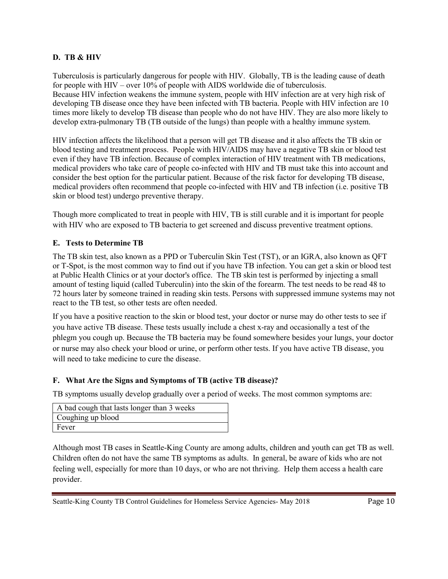#### **D. TB & HIV**

Tuberculosis is particularly dangerous for people with HIV. Globally, TB is the leading cause of death for people with HIV – over 10% of people with AIDS worldwide die of tuberculosis. Because HIV infection weakens the immune system, people with HIV infection are at very high risk of developing TB disease once they have been infected with TB bacteria. People with HIV infection are 10 times more likely to develop TB disease than people who do not have HIV. They are also more likely to develop extra-pulmonary TB (TB outside of the lungs) than people with a healthy immune system.

HIV infection affects the likelihood that a person will get TB disease and it also affects the TB skin or blood testing and treatment process. People with HIV/AIDS may have a negative TB skin or blood test even if they have TB infection. Because of complex interaction of HIV treatment with TB medications, medical providers who take care of people co-infected with HIV and TB must take this into account and consider the best option for the particular patient. Because of the risk factor for developing TB disease, medical providers often recommend that people co-infected with HIV and TB infection (i.e. positive TB skin or blood test) undergo preventive therapy.

Though more complicated to treat in people with HIV, TB is still curable and it is important for people with HIV who are exposed to TB bacteria to get screened and discuss preventive treatment options.

#### **E. Tests to Determine TB**

The TB skin test, also known as a PPD or Tuberculin Skin Test (TST), or an IGRA, also known as QFT or T-Spot, is the most common way to find out if you have TB infection. You can get a skin or blood test at Public Health Clinics or at your doctor's office. The TB skin test is performed by injecting a small amount of testing liquid (called Tuberculin) into the skin of the forearm. The test needs to be read 48 to 72 hours later by someone trained in reading skin tests. Persons with suppressed immune systems may not react to the TB test, so other tests are often needed.

If you have a positive reaction to the skin or blood test, your doctor or nurse may do other tests to see if you have active TB disease. These tests usually include a chest x-ray and occasionally a test of the phlegm you cough up. Because the TB bacteria may be found somewhere besides your lungs, your doctor or nurse may also check your blood or urine, or perform other tests. If you have active TB disease, you will need to take medicine to cure the disease.

#### **F. What Are the Signs and Symptoms of TB (active TB disease)?**

TB symptoms usually develop gradually over a period of weeks. The most common symptoms are:

| A bad cough that lasts longer than 3 weeks |
|--------------------------------------------|
| Coughing up blood                          |
| Fever                                      |

Although most TB cases in Seattle-King County are among adults, children and youth can get TB as well. Children often do not have the same TB symptoms as adults. In general, be aware of kids who are not feeling well, especially for more than 10 days, or who are not thriving. Help them access a health care provider.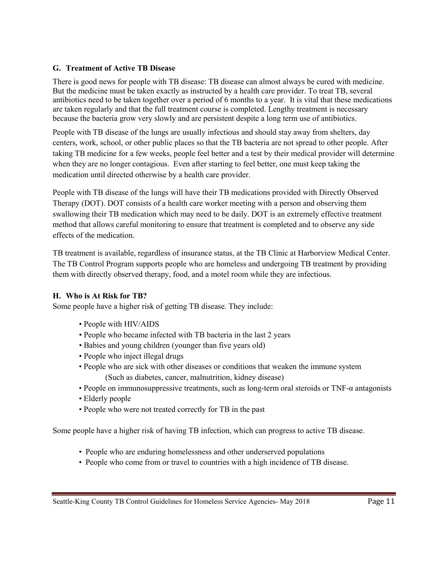#### **G. Treatment of Active TB Disease**

There is good news for people with TB disease: TB disease can almost always be cured with medicine. But the medicine must be taken exactly as instructed by a health care provider. To treat TB, several antibiotics need to be taken together over a period of 6 months to a year. It is vital that these medications are taken regularly and that the full treatment course is completed. Lengthy treatment is necessary because the bacteria grow very slowly and are persistent despite a long term use of antibiotics.

People with TB disease of the lungs are usually infectious and should stay away from shelters, day centers, work, school, or other public places so that the TB bacteria are not spread to other people. After taking TB medicine for a few weeks, people feel better and a test by their medical provider will determine when they are no longer contagious. Even after starting to feel better, one must keep taking the medication until directed otherwise by a health care provider.

People with TB disease of the lungs will have their TB medications provided with Directly Observed Therapy (DOT). DOT consists of a health care worker meeting with a person and observing them swallowing their TB medication which may need to be daily. DOT is an extremely effective treatment method that allows careful monitoring to ensure that treatment is completed and to observe any side effects of the medication.

TB treatment is available, regardless of insurance status, at the TB Clinic at Harborview Medical Center. The TB Control Program supports people who are homeless and undergoing TB treatment by providing them with directly observed therapy, food, and a motel room while they are infectious.

#### **H. Who is At Risk for TB?**

Some people have a higher risk of getting TB disease. They include:

- People with HIV/AIDS
- People who became infected with TB bacteria in the last 2 years
- Babies and young children (younger than five years old)
- People who inject illegal drugs
- People who are sick with other diseases or conditions that weaken the immune system (Such as diabetes, cancer, malnutrition, kidney disease)
- People on immunosuppressive treatments, such as long-term oral steroids or TNF-α antagonists
- Elderly people
- People who were not treated correctly for TB in the past

Some people have a higher risk of having TB infection, which can progress to active TB disease.

- People who are enduring homelessness and other underserved populations
- People who come from or travel to countries with a high incidence of TB disease.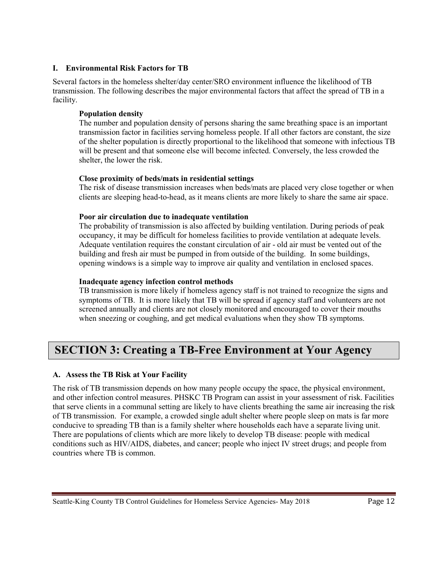#### **I. Environmental Risk Factors for TB**

Several factors in the homeless shelter/day center/SRO environment influence the likelihood of TB transmission. The following describes the major environmental factors that affect the spread of TB in a facility.

#### **Population density**

The number and population density of persons sharing the same breathing space is an important transmission factor in facilities serving homeless people. If all other factors are constant, the size of the shelter population is directly proportional to the likelihood that someone with infectious TB will be present and that someone else will become infected. Conversely, the less crowded the shelter, the lower the risk.

#### **Close proximity of beds/mats in residential settings**

The risk of disease transmission increases when beds/mats are placed very close together or when clients are sleeping head-to-head, as it means clients are more likely to share the same air space.

#### **Poor air circulation due to inadequate ventilation**

The probability of transmission is also affected by building ventilation. During periods of peak occupancy, it may be difficult for homeless facilities to provide ventilation at adequate levels. Adequate ventilation requires the constant circulation of air - old air must be vented out of the building and fresh air must be pumped in from outside of the building. In some buildings, opening windows is a simple way to improve air quality and ventilation in enclosed spaces.

#### **Inadequate agency infection control methods**

TB transmission is more likely if homeless agency staff is not trained to recognize the signs and symptoms of TB. It is more likely that TB will be spread if agency staff and volunteers are not screened annually and clients are not closely monitored and encouraged to cover their mouths when sneezing or coughing, and get medical evaluations when they show TB symptoms.

## **SECTION 3: Creating a TB-Free Environment at Your Agency**

#### **A. Assess the TB Risk at Your Facility**

The risk of TB transmission depends on how many people occupy the space, the physical environment, and other infection control measures. PHSKC TB Program can assist in your assessment of risk. Facilities that serve clients in a communal setting are likely to have clients breathing the same air increasing the risk of TB transmission. For example, a crowded single adult shelter where people sleep on mats is far more conducive to spreading TB than is a family shelter where households each have a separate living unit. There are populations of clients which are more likely to develop TB disease: people with medical conditions such as HIV/AIDS, diabetes, and cancer; people who inject IV street drugs; and people from countries where TB is common.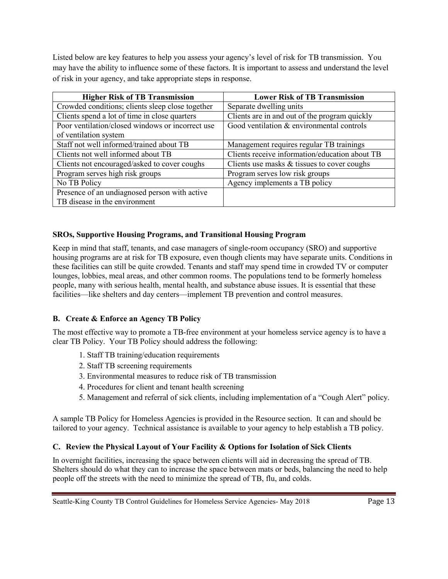Listed below are key features to help you assess your agency's level of risk for TB transmission. You may have the ability to influence some of these factors. It is important to assess and understand the level of risk in your agency, and take appropriate steps in response.

| <b>Higher Risk of TB Transmission</b>            | <b>Lower Risk of TB Transmission</b>           |
|--------------------------------------------------|------------------------------------------------|
| Crowded conditions; clients sleep close together | Separate dwelling units                        |
| Clients spend a lot of time in close quarters    | Clients are in and out of the program quickly  |
| Poor ventilation/closed windows or incorrect use | Good ventilation & environmental controls      |
| of ventilation system                            |                                                |
| Staff not well informed/trained about TB         | Management requires regular TB trainings       |
| Clients not well informed about TB               | Clients receive information/education about TB |
| Clients not encouraged/asked to cover coughs     | Clients use masks $\&$ tissues to cover coughs |
| Program serves high risk groups                  | Program serves low risk groups                 |
| No TB Policy                                     | Agency implements a TB policy                  |
| Presence of an undiagnosed person with active    |                                                |
| TB disease in the environment                    |                                                |

#### **SROs, Supportive Housing Programs, and Transitional Housing Program**

Keep in mind that staff, tenants, and case managers of single-room occupancy (SRO) and supportive housing programs are at risk for TB exposure, even though clients may have separate units. Conditions in these facilities can still be quite crowded. Tenants and staff may spend time in crowded TV or computer lounges, lobbies, meal areas, and other common rooms. The populations tend to be formerly homeless people, many with serious health, mental health, and substance abuse issues. It is essential that these facilities—like shelters and day centers—implement TB prevention and control measures.

#### **B. Create & Enforce an Agency TB Policy**

The most effective way to promote a TB-free environment at your homeless service agency is to have a clear TB Policy. Your TB Policy should address the following:

- 1. Staff TB training/education requirements
- 2. Staff TB screening requirements
- 3. Environmental measures to reduce risk of TB transmission
- 4. Procedures for client and tenant health screening
- 5. Management and referral of sick clients, including implementation of a "Cough Alert" policy.

A sample TB Policy for Homeless Agencies is provided in the Resource section. It can and should be tailored to your agency. Technical assistance is available to your agency to help establish a TB policy.

#### **C. Review the Physical Layout of Your Facility & Options for Isolation of Sick Clients**

In overnight facilities, increasing the space between clients will aid in decreasing the spread of TB. Shelters should do what they can to increase the space between mats or beds, balancing the need to help people off the streets with the need to minimize the spread of TB, flu, and colds.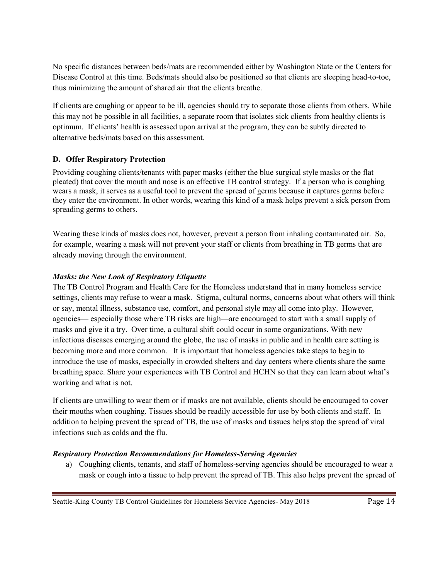No specific distances between beds/mats are recommended either by Washington State or the Centers for Disease Control at this time. Beds/mats should also be positioned so that clients are sleeping head-to-toe, thus minimizing the amount of shared air that the clients breathe.

If clients are coughing or appear to be ill, agencies should try to separate those clients from others. While this may not be possible in all facilities, a separate room that isolates sick clients from healthy clients is optimum. If clients' health is assessed upon arrival at the program, they can be subtly directed to alternative beds/mats based on this assessment.

#### **D. Offer Respiratory Protection**

Providing coughing clients/tenants with paper masks (either the blue surgical style masks or the flat pleated) that cover the mouth and nose is an effective TB control strategy. If a person who is coughing wears a mask, it serves as a useful tool to prevent the spread of germs because it captures germs before they enter the environment. In other words, wearing this kind of a mask helps prevent a sick person from spreading germs to others.

Wearing these kinds of masks does not, however, prevent a person from inhaling contaminated air. So, for example, wearing a mask will not prevent your staff or clients from breathing in TB germs that are already moving through the environment.

#### *Masks: the New Look of Respiratory Etiquette*

The TB Control Program and Health Care for the Homeless understand that in many homeless service settings, clients may refuse to wear a mask. Stigma, cultural norms, concerns about what others will think or say, mental illness, substance use, comfort, and personal style may all come into play. However, agencies— especially those where TB risks are high—are encouraged to start with a small supply of masks and give it a try. Over time, a cultural shift could occur in some organizations. With new infectious diseases emerging around the globe, the use of masks in public and in health care setting is becoming more and more common. It is important that homeless agencies take steps to begin to introduce the use of masks, especially in crowded shelters and day centers where clients share the same breathing space. Share your experiences with TB Control and HCHN so that they can learn about what's working and what is not.

If clients are unwilling to wear them or if masks are not available, clients should be encouraged to cover their mouths when coughing. Tissues should be readily accessible for use by both clients and staff. In addition to helping prevent the spread of TB, the use of masks and tissues helps stop the spread of viral infections such as colds and the flu.

#### *Respiratory Protection Recommendations for Homeless-Serving Agencies*

a) Coughing clients, tenants, and staff of homeless-serving agencies should be encouraged to wear a mask or cough into a tissue to help prevent the spread of TB. This also helps prevent the spread of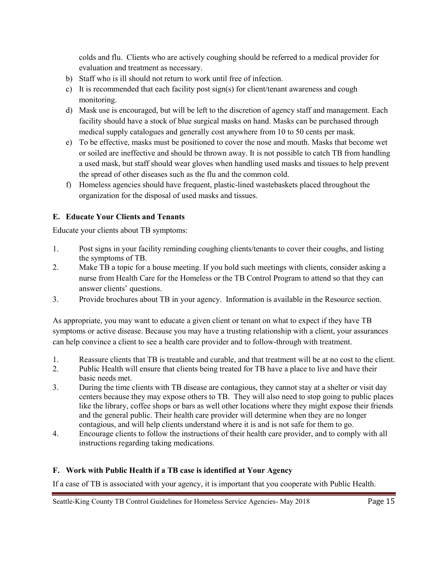colds and flu. Clients who are actively coughing should be referred to a medical provider for evaluation and treatment as necessary.

- b) Staff who is ill should not return to work until free of infection.
- c) It is recommended that each facility post sign(s) for client/tenant awareness and cough monitoring.
- d) Mask use is encouraged, but will be left to the discretion of agency staff and management. Each facility should have a stock of blue surgical masks on hand. Masks can be purchased through medical supply catalogues and generally cost anywhere from 10 to 50 cents per mask.
- e) To be effective, masks must be positioned to cover the nose and mouth. Masks that become wet or soiled are ineffective and should be thrown away. It is not possible to catch TB from handling a used mask, but staff should wear gloves when handling used masks and tissues to help prevent the spread of other diseases such as the flu and the common cold.
- f) Homeless agencies should have frequent, plastic-lined wastebaskets placed throughout the organization for the disposal of used masks and tissues.

#### **E. Educate Your Clients and Tenants**

Educate your clients about TB symptoms:

- 1. Post signs in your facility reminding coughing clients/tenants to cover their coughs, and listing the symptoms of TB.
- 2. Make TB a topic for a house meeting. If you hold such meetings with clients, consider asking a nurse from Health Care for the Homeless or the TB Control Program to attend so that they can answer clients' questions.
- 3. Provide brochures about TB in your agency. Information is available in the Resource section.

As appropriate, you may want to educate a given client or tenant on what to expect if they have TB symptoms or active disease. Because you may have a trusting relationship with a client, your assurances can help convince a client to see a health care provider and to follow-through with treatment.

- 1. Reassure clients that TB is treatable and curable, and that treatment will be at no cost to the client.
- 2. Public Health will ensure that clients being treated for TB have a place to live and have their basic needs met.
- 3. During the time clients with TB disease are contagious, they cannot stay at a shelter or visit day centers because they may expose others to TB. They will also need to stop going to public places like the library, coffee shops or bars as well other locations where they might expose their friends and the general public. Their health care provider will determine when they are no longer contagious, and will help clients understand where it is and is not safe for them to go.
- 4. Encourage clients to follow the instructions of their health care provider, and to comply with all instructions regarding taking medications.

#### **F. Work with Public Health if a TB case is identified at Your Agency**

If a case of TB is associated with your agency, it is important that you cooperate with Public Health.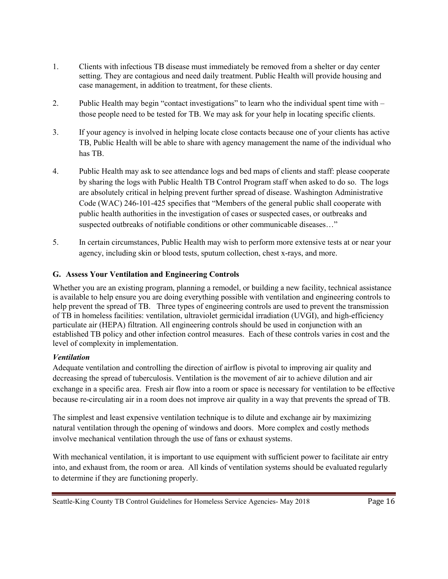- 1. Clients with infectious TB disease must immediately be removed from a shelter or day center setting. They are contagious and need daily treatment. Public Health will provide housing and case management, in addition to treatment, for these clients.
- 2. Public Health may begin "contact investigations" to learn who the individual spent time with those people need to be tested for TB. We may ask for your help in locating specific clients.
- 3. If your agency is involved in helping locate close contacts because one of your clients has active TB, Public Health will be able to share with agency management the name of the individual who has TB.
- 4. Public Health may ask to see attendance logs and bed maps of clients and staff: please cooperate by sharing the logs with Public Health TB Control Program staff when asked to do so. The logs are absolutely critical in helping prevent further spread of disease. Washington Administrative Code (WAC) 246-101-425 specifies that "Members of the general public shall cooperate with public health authorities in the investigation of cases or suspected cases, or outbreaks and suspected outbreaks of notifiable conditions or other communicable diseases…"
- 5. In certain circumstances, Public Health may wish to perform more extensive tests at or near your agency, including skin or blood tests, sputum collection, chest x-rays, and more.

#### **G. Assess Your Ventilation and Engineering Controls**

Whether you are an existing program, planning a remodel, or building a new facility, technical assistance is available to help ensure you are doing everything possible with ventilation and engineering controls to help prevent the spread of TB. Three types of engineering controls are used to prevent the transmission of TB in homeless facilities: ventilation, ultraviolet germicidal irradiation (UVGI), and high-efficiency particulate air (HEPA) filtration. All engineering controls should be used in conjunction with an established TB policy and other infection control measures. Each of these controls varies in cost and the level of complexity in implementation.

#### *Ventilation*

Adequate ventilation and controlling the direction of airflow is pivotal to improving air quality and decreasing the spread of tuberculosis. Ventilation is the movement of air to achieve dilution and air exchange in a specific area. Fresh air flow into a room or space is necessary for ventilation to be effective because re-circulating air in a room does not improve air quality in a way that prevents the spread of TB.

The simplest and least expensive ventilation technique is to dilute and exchange air by maximizing natural ventilation through the opening of windows and doors. More complex and costly methods involve mechanical ventilation through the use of fans or exhaust systems.

With mechanical ventilation, it is important to use equipment with sufficient power to facilitate air entry into, and exhaust from, the room or area. All kinds of ventilation systems should be evaluated regularly to determine if they are functioning properly.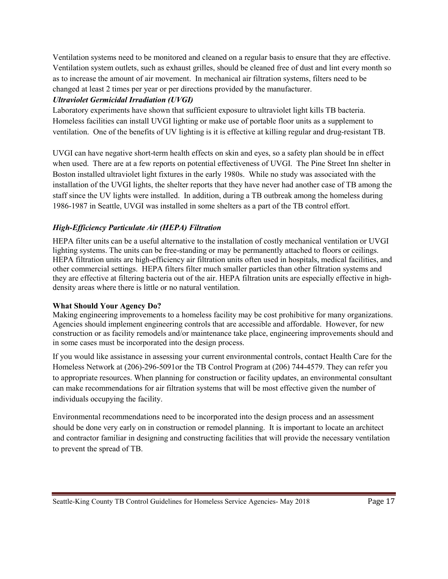Ventilation systems need to be monitored and cleaned on a regular basis to ensure that they are effective. Ventilation system outlets, such as exhaust grilles, should be cleaned free of dust and lint every month so as to increase the amount of air movement. In mechanical air filtration systems, filters need to be changed at least 2 times per year or per directions provided by the manufacturer.

#### *Ultraviolet Germicidal Irradiation (UVGI)*

Laboratory experiments have shown that sufficient exposure to ultraviolet light kills TB bacteria. Homeless facilities can install UVGI lighting or make use of portable floor units as a supplement to ventilation. One of the benefits of UV lighting is it is effective at killing regular and drug-resistant TB.

UVGI can have negative short-term health effects on skin and eyes, so a safety plan should be in effect when used. There are at a few reports on potential effectiveness of UVGI. The Pine Street Inn shelter in Boston installed ultraviolet light fixtures in the early 1980s. While no study was associated with the installation of the UVGI lights, the shelter reports that they have never had another case of TB among the staff since the UV lights were installed. In addition, during a TB outbreak among the homeless during 1986-1987 in Seattle, UVGI was installed in some shelters as a part of the TB control effort.

### *High-Efficiency Particulate Air (HEPA) Filtration*

HEPA filter units can be a useful alternative to the installation of costly mechanical ventilation or UVGI lighting systems. The units can be free-standing or may be permanently attached to floors or ceilings. HEPA filtration units are high-efficiency air filtration units often used in hospitals, medical facilities, and other commercial settings. HEPA filters filter much smaller particles than other filtration systems and they are effective at filtering bacteria out of the air. HEPA filtration units are especially effective in highdensity areas where there is little or no natural ventilation.

#### **What Should Your Agency Do?**

Making engineering improvements to a homeless facility may be cost prohibitive for many organizations. Agencies should implement engineering controls that are accessible and affordable. However, for new construction or as facility remodels and/or maintenance take place, engineering improvements should and in some cases must be incorporated into the design process.

If you would like assistance in assessing your current environmental controls, contact Health Care for the Homeless Network at (206)-296-5091or the TB Control Program at (206) 744-4579. They can refer you to appropriate resources. When planning for construction or facility updates, an environmental consultant can make recommendations for air filtration systems that will be most effective given the number of individuals occupying the facility.

Environmental recommendations need to be incorporated into the design process and an assessment should be done very early on in construction or remodel planning. It is important to locate an architect and contractor familiar in designing and constructing facilities that will provide the necessary ventilation to prevent the spread of TB.